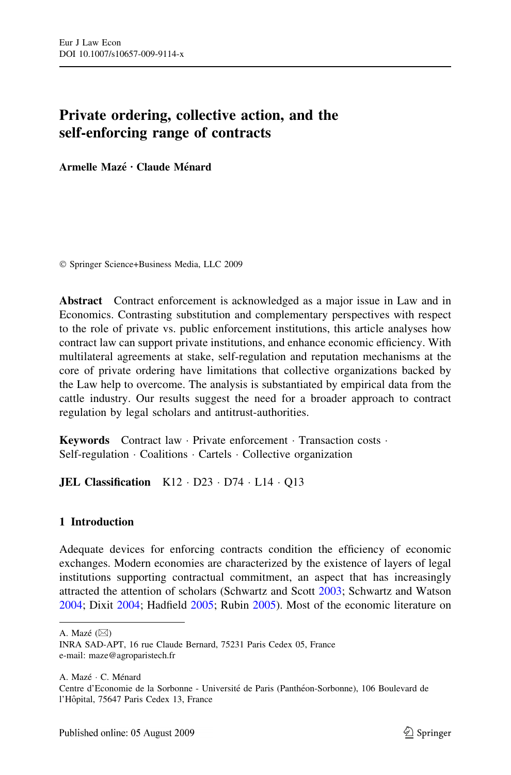# Private ordering, collective action, and the self-enforcing range of contracts

Armelle Mazé · Claude Ménard

Springer Science+Business Media, LLC 2009

Abstract Contract enforcement is acknowledged as a major issue in Law and in Economics. Contrasting substitution and complementary perspectives with respect to the role of private vs. public enforcement institutions, this article analyses how contract law can support private institutions, and enhance economic efficiency. With multilateral agreements at stake, self-regulation and reputation mechanisms at the core of private ordering have limitations that collective organizations backed by the Law help to overcome. The analysis is substantiated by empirical data from the cattle industry. Our results suggest the need for a broader approach to contract regulation by legal scholars and antitrust-authorities.

Keywords Contract law · Private enforcement · Transaction costs · Self-regulation · Coalitions · Cartels · Collective organization

JEL Classification  $K12 \cdot D23 \cdot D74 \cdot L14 \cdot O13$ 

# 1 Introduction

Adequate devices for enforcing contracts condition the efficiency of economic exchanges. Modern economies are characterized by the existence of layers of legal institutions supporting contractual commitment, an aspect that has increasingly attracted the attention of scholars (Schwartz and Scott [2003](#page-22-0); Schwartz and Watson [2004;](#page-22-0) Dixit [2004;](#page-21-0) Hadfield [2005](#page-21-0); Rubin [2005](#page-22-0)). Most of the economic literature on

A. Mazé · C. Ménard

A. Mazé  $(\boxtimes)$ 

INRA SAD-APT, 16 rue Claude Bernard, 75231 Paris Cedex 05, France e-mail: maze@agroparistech.fr

Centre d'Economie de la Sorbonne - Université de Paris (Panthéon-Sorbonne), 106 Boulevard de l'Hôpital, 75647 Paris Cedex 13, France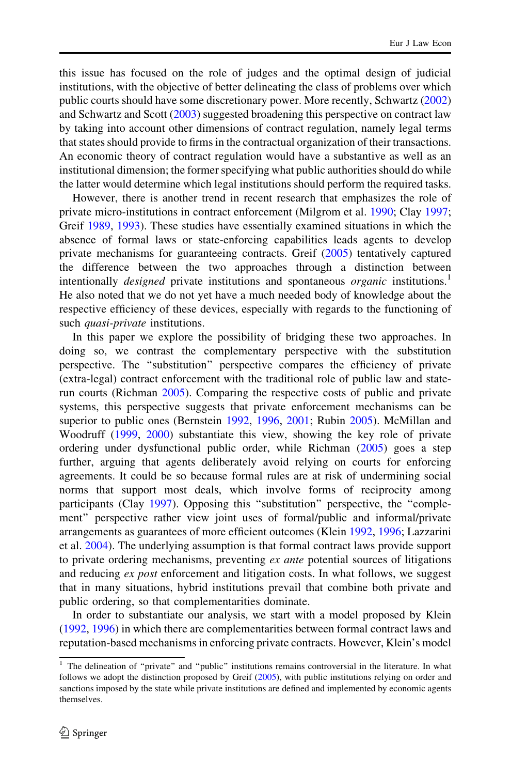this issue has focused on the role of judges and the optimal design of judicial institutions, with the objective of better delineating the class of problems over which public courts should have some discretionary power. More recently, Schwartz [\(2002](#page-22-0)) and Schwartz and Scott [\(2003](#page-22-0)) suggested broadening this perspective on contract law by taking into account other dimensions of contract regulation, namely legal terms that states should provide to firms in the contractual organization of their transactions. An economic theory of contract regulation would have a substantive as well as an institutional dimension; the former specifying what public authorities should do while the latter would determine which legal institutions should perform the required tasks.

However, there is another trend in recent research that emphasizes the role of private micro-institutions in contract enforcement (Milgrom et al. [1990](#page-22-0); Clay [1997;](#page-21-0) Greif [1989](#page-21-0), [1993\)](#page-21-0). These studies have essentially examined situations in which the absence of formal laws or state-enforcing capabilities leads agents to develop private mechanisms for guaranteeing contracts. Greif ([2005\)](#page-21-0) tentatively captured the difference between the two approaches through a distinction between intentionally *designed* private institutions and spontaneous *organic* institutions.<sup>1</sup> He also noted that we do not yet have a much needed body of knowledge about the respective efficiency of these devices, especially with regards to the functioning of such *quasi-private* institutions.

In this paper we explore the possibility of bridging these two approaches. In doing so, we contrast the complementary perspective with the substitution perspective. The ''substitution'' perspective compares the efficiency of private (extra-legal) contract enforcement with the traditional role of public law and staterun courts (Richman [2005](#page-22-0)). Comparing the respective costs of public and private systems, this perspective suggests that private enforcement mechanisms can be superior to public ones (Bernstein [1992](#page-20-0), [1996](#page-20-0), [2001;](#page-20-0) Rubin [2005\)](#page-22-0). McMillan and Woodruff ([1999,](#page-21-0) [2000\)](#page-21-0) substantiate this view, showing the key role of private ordering under dysfunctional public order, while Richman [\(2005](#page-22-0)) goes a step further, arguing that agents deliberately avoid relying on courts for enforcing agreements. It could be so because formal rules are at risk of undermining social norms that support most deals, which involve forms of reciprocity among participants (Clay [1997](#page-21-0)). Opposing this ''substitution'' perspective, the ''complement'' perspective rather view joint uses of formal/public and informal/private arrangements as guarantees of more efficient outcomes (Klein [1992](#page-21-0), [1996](#page-21-0); Lazzarini et al. [2004](#page-21-0)). The underlying assumption is that formal contract laws provide support to private ordering mechanisms, preventing  $ex$  ante potential sources of litigations and reducing ex post enforcement and litigation costs. In what follows, we suggest that in many situations, hybrid institutions prevail that combine both private and public ordering, so that complementarities dominate.

In order to substantiate our analysis, we start with a model proposed by Klein [\(1992](#page-21-0), [1996\)](#page-21-0) in which there are complementarities between formal contract laws and reputation-based mechanisms in enforcing private contracts. However, Klein's model

<sup>&</sup>lt;sup>1</sup> The delineation of "private" and "public" institutions remains controversial in the literature. In what follows we adopt the distinction proposed by Greif ([2005\)](#page-21-0), with public institutions relying on order and sanctions imposed by the state while private institutions are defined and implemented by economic agents themselves.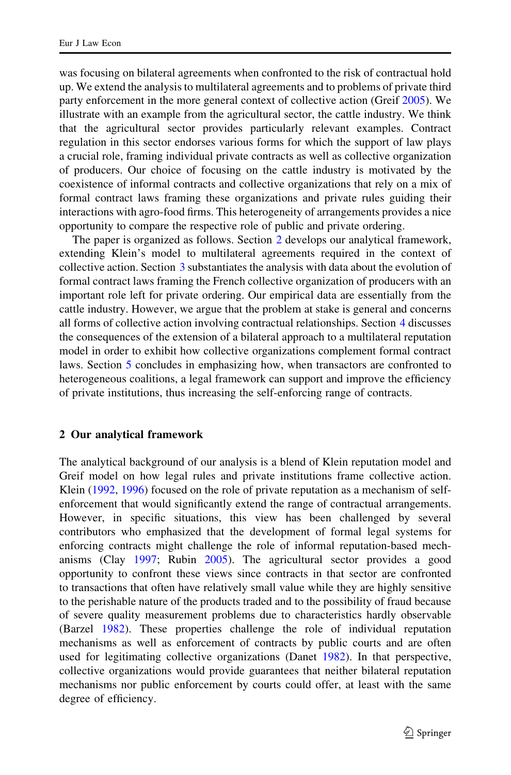was focusing on bilateral agreements when confronted to the risk of contractual hold up. We extend the analysis to multilateral agreements and to problems of private third party enforcement in the more general context of collective action (Greif [2005](#page-21-0)). We illustrate with an example from the agricultural sector, the cattle industry. We think that the agricultural sector provides particularly relevant examples. Contract regulation in this sector endorses various forms for which the support of law plays a crucial role, framing individual private contracts as well as collective organization of producers. Our choice of focusing on the cattle industry is motivated by the coexistence of informal contracts and collective organizations that rely on a mix of formal contract laws framing these organizations and private rules guiding their interactions with agro-food firms. This heterogeneity of arrangements provides a nice opportunity to compare the respective role of public and private ordering.

The paper is organized as follows. Section 2 develops our analytical framework, extending Klein's model to multilateral agreements required in the context of collective action. Section [3](#page-7-0) substantiates the analysis with data about the evolution of formal contract laws framing the French collective organization of producers with an important role left for private ordering. Our empirical data are essentially from the cattle industry. However, we argue that the problem at stake is general and concerns all forms of collective action involving contractual relationships. Section [4](#page-16-0) discusses the consequences of the extension of a bilateral approach to a multilateral reputation model in order to exhibit how collective organizations complement formal contract laws. Section [5](#page-19-0) concludes in emphasizing how, when transactors are confronted to heterogeneous coalitions, a legal framework can support and improve the efficiency of private institutions, thus increasing the self-enforcing range of contracts.

# 2 Our analytical framework

The analytical background of our analysis is a blend of Klein reputation model and Greif model on how legal rules and private institutions frame collective action. Klein [\(1992](#page-21-0), [1996](#page-21-0)) focused on the role of private reputation as a mechanism of selfenforcement that would significantly extend the range of contractual arrangements. However, in specific situations, this view has been challenged by several contributors who emphasized that the development of formal legal systems for enforcing contracts might challenge the role of informal reputation-based mechanisms (Clay [1997;](#page-21-0) Rubin [2005](#page-22-0)). The agricultural sector provides a good opportunity to confront these views since contracts in that sector are confronted to transactions that often have relatively small value while they are highly sensitive to the perishable nature of the products traded and to the possibility of fraud because of severe quality measurement problems due to characteristics hardly observable (Barzel [1982](#page-20-0)). These properties challenge the role of individual reputation mechanisms as well as enforcement of contracts by public courts and are often used for legitimating collective organizations (Danet [1982](#page-21-0)). In that perspective, collective organizations would provide guarantees that neither bilateral reputation mechanisms nor public enforcement by courts could offer, at least with the same degree of efficiency.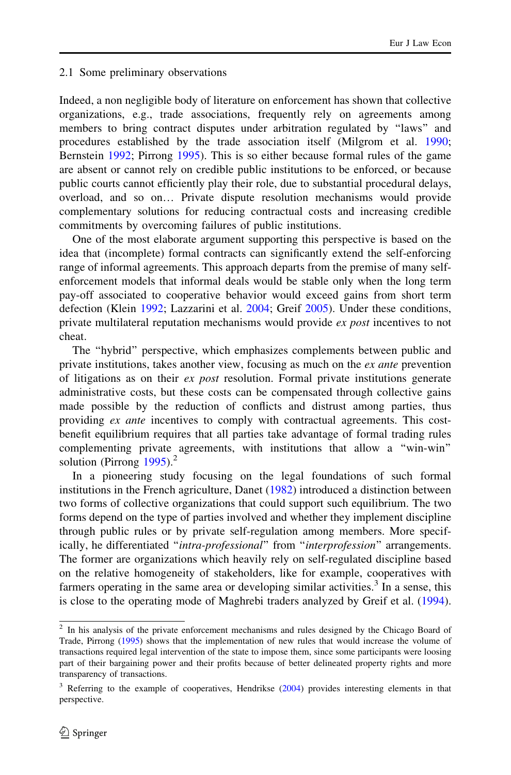### 2.1 Some preliminary observations

Indeed, a non negligible body of literature on enforcement has shown that collective organizations, e.g., trade associations, frequently rely on agreements among members to bring contract disputes under arbitration regulated by ''laws'' and procedures established by the trade association itself (Milgrom et al. [1990;](#page-22-0) Bernstein [1992;](#page-20-0) Pirrong [1995](#page-22-0)). This is so either because formal rules of the game are absent or cannot rely on credible public institutions to be enforced, or because public courts cannot efficiently play their role, due to substantial procedural delays, overload, and so on… Private dispute resolution mechanisms would provide complementary solutions for reducing contractual costs and increasing credible commitments by overcoming failures of public institutions.

One of the most elaborate argument supporting this perspective is based on the idea that (incomplete) formal contracts can significantly extend the self-enforcing range of informal agreements. This approach departs from the premise of many selfenforcement models that informal deals would be stable only when the long term pay-off associated to cooperative behavior would exceed gains from short term defection (Klein [1992;](#page-21-0) Lazzarini et al. [2004;](#page-21-0) Greif [2005\)](#page-21-0). Under these conditions, private multilateral reputation mechanisms would provide ex post incentives to not cheat.

The ''hybrid'' perspective, which emphasizes complements between public and private institutions, takes another view, focusing as much on the ex ante prevention of litigations as on their ex post resolution. Formal private institutions generate administrative costs, but these costs can be compensated through collective gains made possible by the reduction of conflicts and distrust among parties, thus providing ex ante incentives to comply with contractual agreements. This costbenefit equilibrium requires that all parties take advantage of formal trading rules complementing private agreements, with institutions that allow a ''win-win'' solution (Pirrong  $1995$ ).<sup>2</sup>

In a pioneering study focusing on the legal foundations of such formal institutions in the French agriculture, Danet ([1982\)](#page-21-0) introduced a distinction between two forms of collective organizations that could support such equilibrium. The two forms depend on the type of parties involved and whether they implement discipline through public rules or by private self-regulation among members. More specifically, he differentiated "*intra-professional*" from "*interprofession*" arrangements. The former are organizations which heavily rely on self-regulated discipline based on the relative homogeneity of stakeholders, like for example, cooperatives with farmers operating in the same area or developing similar activities.<sup>3</sup> In a sense, this is close to the operating mode of Maghrebi traders analyzed by Greif et al. ([1994\)](#page-21-0).

<sup>&</sup>lt;sup>2</sup> In his analysis of the private enforcement mechanisms and rules designed by the Chicago Board of Trade, Pirrong [\(1995](#page-22-0)) shows that the implementation of new rules that would increase the volume of transactions required legal intervention of the state to impose them, since some participants were loosing part of their bargaining power and their profits because of better delineated property rights and more transparency of transactions.

<sup>&</sup>lt;sup>3</sup> Referring to the example of cooperatives, Hendrikse ([2004\)](#page-21-0) provides interesting elements in that perspective.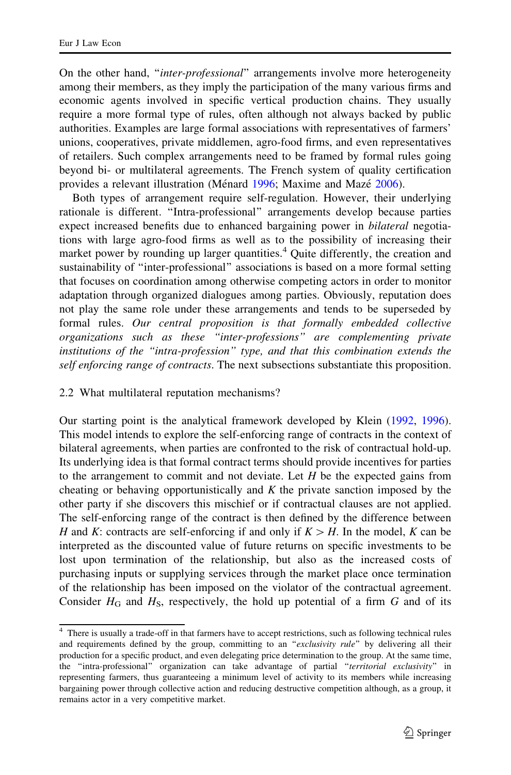On the other hand, "inter-professional" arrangements involve more heterogeneity among their members, as they imply the participation of the many various firms and economic agents involved in specific vertical production chains. They usually require a more formal type of rules, often although not always backed by public authorities. Examples are large formal associations with representatives of farmers' unions, cooperatives, private middlemen, agro-food firms, and even representatives of retailers. Such complex arrangements need to be framed by formal rules going beyond bi- or multilateral agreements. The French system of quality certification provides a relevant illustration (Ménard [1996;](#page-21-0) Maxime and Mazé [2006\)](#page-21-0).

Both types of arrangement require self-regulation. However, their underlying rationale is different. ''Intra-professional'' arrangements develop because parties expect increased benefits due to enhanced bargaining power in bilateral negotiations with large agro-food firms as well as to the possibility of increasing their market power by rounding up larger quantities.<sup>4</sup> Quite differently, the creation and sustainability of ''inter-professional'' associations is based on a more formal setting that focuses on coordination among otherwise competing actors in order to monitor adaptation through organized dialogues among parties. Obviously, reputation does not play the same role under these arrangements and tends to be superseded by formal rules. Our central proposition is that formally embedded collective organizations such as these ''inter-professions'' are complementing private institutions of the ''intra-profession'' type, and that this combination extends the self enforcing range of contracts. The next subsections substantiate this proposition.

# 2.2 What multilateral reputation mechanisms?

Our starting point is the analytical framework developed by Klein [\(1992](#page-21-0), [1996\)](#page-21-0). This model intends to explore the self-enforcing range of contracts in the context of bilateral agreements, when parties are confronted to the risk of contractual hold-up. Its underlying idea is that formal contract terms should provide incentives for parties to the arrangement to commit and not deviate. Let  $H$  be the expected gains from cheating or behaving opportunistically and  $K$  the private sanction imposed by the other party if she discovers this mischief or if contractual clauses are not applied. The self-enforcing range of the contract is then defined by the difference between H and K: contracts are self-enforcing if and only if  $K > H$ . In the model, K can be interpreted as the discounted value of future returns on specific investments to be lost upon termination of the relationship, but also as the increased costs of purchasing inputs or supplying services through the market place once termination of the relationship has been imposed on the violator of the contractual agreement. Consider  $H_G$  and  $H_S$ , respectively, the hold up potential of a firm G and of its

<sup>4</sup> There is usually a trade-off in that farmers have to accept restrictions, such as following technical rules and requirements defined by the group, committing to an "exclusivity rule" by delivering all their production for a specific product, and even delegating price determination to the group. At the same time, the "intra-professional" organization can take advantage of partial "territorial exclusivity" in representing farmers, thus guaranteeing a minimum level of activity to its members while increasing bargaining power through collective action and reducing destructive competition although, as a group, it remains actor in a very competitive market.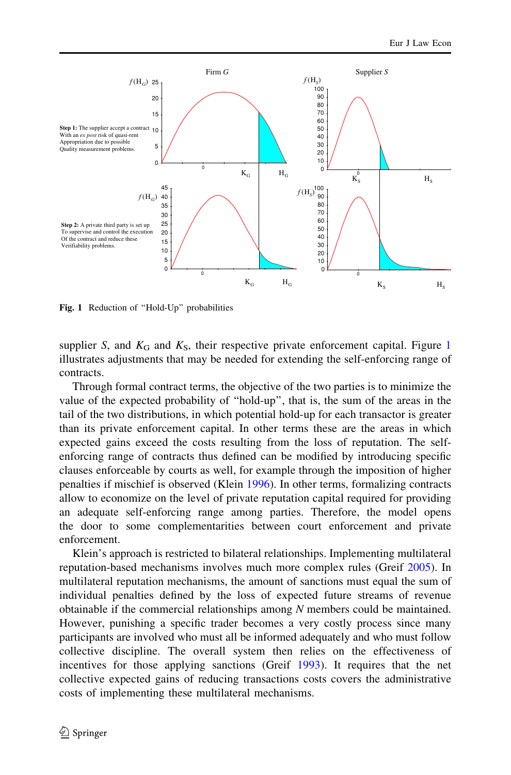

Fig. 1 Reduction of ''Hold-Up'' probabilities

supplier S, and  $K_G$  and  $K_S$ , their respective private enforcement capital. Figure 1 illustrates adjustments that may be needed for extending the self-enforcing range of contracts.

Through formal contract terms, the objective of the two parties is to minimize the value of the expected probability of ''hold-up'', that is, the sum of the areas in the tail of the two distributions, in which potential hold-up for each transactor is greater than its private enforcement capital. In other terms these are the areas in which expected gains exceed the costs resulting from the loss of reputation. The selfenforcing range of contracts thus defined can be modified by introducing specific clauses enforceable by courts as well, for example through the imposition of higher penalties if mischief is observed (Klein [1996](#page-21-0)). In other terms, formalizing contracts allow to economize on the level of private reputation capital required for providing an adequate self-enforcing range among parties. Therefore, the model opens the door to some complementarities between court enforcement and private enforcement.

Klein's approach is restricted to bilateral relationships. Implementing multilateral reputation-based mechanisms involves much more complex rules (Greif [2005\)](#page-21-0). In multilateral reputation mechanisms, the amount of sanctions must equal the sum of individual penalties defined by the loss of expected future streams of revenue obtainable if the commercial relationships among N members could be maintained. However, punishing a specific trader becomes a very costly process since many participants are involved who must all be informed adequately and who must follow collective discipline. The overall system then relies on the effectiveness of incentives for those applying sanctions (Greif [1993\)](#page-21-0). It requires that the net collective expected gains of reducing transactions costs covers the administrative costs of implementing these multilateral mechanisms.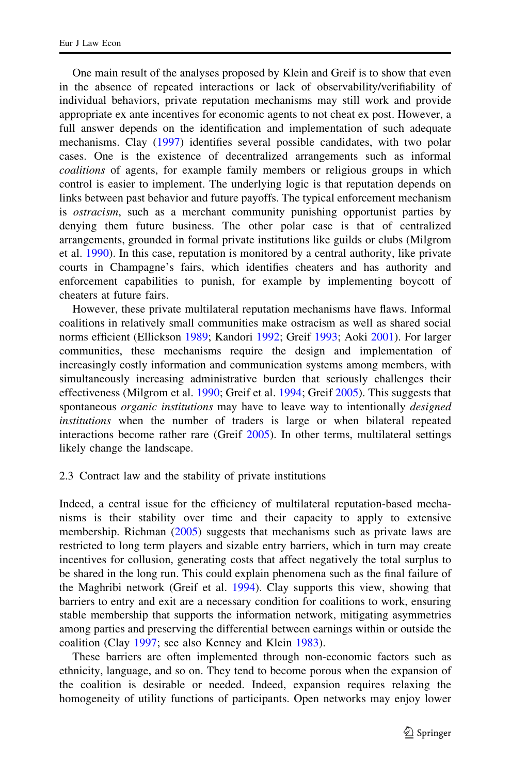One main result of the analyses proposed by Klein and Greif is to show that even in the absence of repeated interactions or lack of observability/verifiability of individual behaviors, private reputation mechanisms may still work and provide appropriate ex ante incentives for economic agents to not cheat ex post. However, a full answer depends on the identification and implementation of such adequate mechanisms. Clay ([1997\)](#page-21-0) identifies several possible candidates, with two polar cases. One is the existence of decentralized arrangements such as informal coalitions of agents, for example family members or religious groups in which control is easier to implement. The underlying logic is that reputation depends on links between past behavior and future payoffs. The typical enforcement mechanism is *ostracism*, such as a merchant community punishing opportunist parties by denying them future business. The other polar case is that of centralized arrangements, grounded in formal private institutions like guilds or clubs (Milgrom et al. [1990\)](#page-22-0). In this case, reputation is monitored by a central authority, like private courts in Champagne's fairs, which identifies cheaters and has authority and enforcement capabilities to punish, for example by implementing boycott of cheaters at future fairs.

However, these private multilateral reputation mechanisms have flaws. Informal coalitions in relatively small communities make ostracism as well as shared social norms efficient (Ellickson [1989](#page-21-0); Kandori [1992;](#page-21-0) Greif [1993](#page-21-0); Aoki [2001](#page-20-0)). For larger communities, these mechanisms require the design and implementation of increasingly costly information and communication systems among members, with simultaneously increasing administrative burden that seriously challenges their effectiveness (Milgrom et al. [1990](#page-22-0); Greif et al. [1994;](#page-21-0) Greif [2005\)](#page-21-0). This suggests that spontaneous *organic institutions* may have to leave way to intentionally *designed* institutions when the number of traders is large or when bilateral repeated interactions become rather rare (Greif [2005](#page-21-0)). In other terms, multilateral settings likely change the landscape.

### 2.3 Contract law and the stability of private institutions

Indeed, a central issue for the efficiency of multilateral reputation-based mechanisms is their stability over time and their capacity to apply to extensive membership. Richman [\(2005](#page-22-0)) suggests that mechanisms such as private laws are restricted to long term players and sizable entry barriers, which in turn may create incentives for collusion, generating costs that affect negatively the total surplus to be shared in the long run. This could explain phenomena such as the final failure of the Maghribi network (Greif et al. [1994\)](#page-21-0). Clay supports this view, showing that barriers to entry and exit are a necessary condition for coalitions to work, ensuring stable membership that supports the information network, mitigating asymmetries among parties and preserving the differential between earnings within or outside the coalition (Clay [1997](#page-21-0); see also Kenney and Klein [1983](#page-21-0)).

These barriers are often implemented through non-economic factors such as ethnicity, language, and so on. They tend to become porous when the expansion of the coalition is desirable or needed. Indeed, expansion requires relaxing the homogeneity of utility functions of participants. Open networks may enjoy lower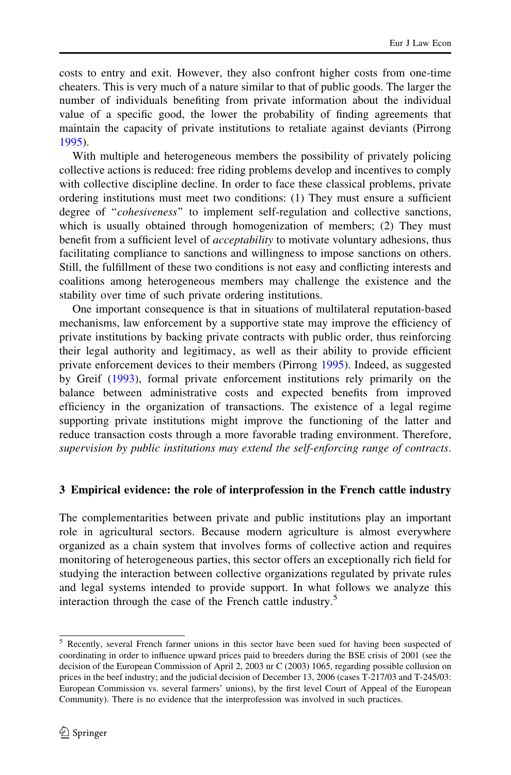<span id="page-7-0"></span>costs to entry and exit. However, they also confront higher costs from one-time cheaters. This is very much of a nature similar to that of public goods. The larger the number of individuals benefiting from private information about the individual value of a specific good, the lower the probability of finding agreements that maintain the capacity of private institutions to retaliate against deviants (Pirrong [1995\)](#page-22-0).

With multiple and heterogeneous members the possibility of privately policing collective actions is reduced: free riding problems develop and incentives to comply with collective discipline decline. In order to face these classical problems, private ordering institutions must meet two conditions: (1) They must ensure a sufficient degree of "cohesiveness" to implement self-regulation and collective sanctions, which is usually obtained through homogenization of members; (2) They must benefit from a sufficient level of *acceptability* to motivate voluntary adhesions, thus facilitating compliance to sanctions and willingness to impose sanctions on others. Still, the fulfillment of these two conditions is not easy and conflicting interests and coalitions among heterogeneous members may challenge the existence and the stability over time of such private ordering institutions.

One important consequence is that in situations of multilateral reputation-based mechanisms, law enforcement by a supportive state may improve the efficiency of private institutions by backing private contracts with public order, thus reinforcing their legal authority and legitimacy, as well as their ability to provide efficient private enforcement devices to their members (Pirrong [1995](#page-22-0)). Indeed, as suggested by Greif ([1993\)](#page-21-0), formal private enforcement institutions rely primarily on the balance between administrative costs and expected benefits from improved efficiency in the organization of transactions. The existence of a legal regime supporting private institutions might improve the functioning of the latter and reduce transaction costs through a more favorable trading environment. Therefore, supervision by public institutions may extend the self-enforcing range of contracts.

# 3 Empirical evidence: the role of interprofession in the French cattle industry

The complementarities between private and public institutions play an important role in agricultural sectors. Because modern agriculture is almost everywhere organized as a chain system that involves forms of collective action and requires monitoring of heterogeneous parties, this sector offers an exceptionally rich field for studying the interaction between collective organizations regulated by private rules and legal systems intended to provide support. In what follows we analyze this interaction through the case of the French cattle industry.<sup>5</sup>

<sup>5</sup> Recently, several French farmer unions in this sector have been sued for having been suspected of coordinating in order to influence upward prices paid to breeders during the BSE crisis of 2001 (see the decision of the European Commission of April 2, 2003 nr C (2003) 1065, regarding possible collusion on prices in the beef industry; and the judicial decision of December 13, 2006 (cases T-217/03 and T-245/03: European Commission vs. several farmers' unions), by the first level Court of Appeal of the European Community). There is no evidence that the interprofession was involved in such practices.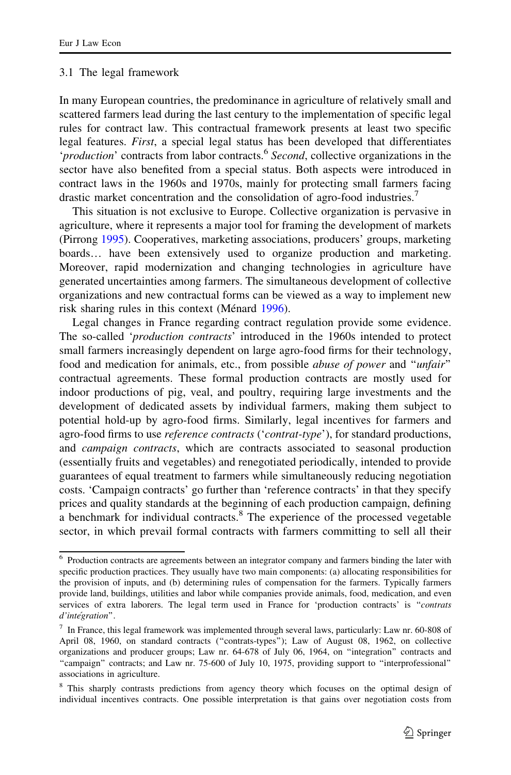# 3.1 The legal framework

In many European countries, the predominance in agriculture of relatively small and scattered farmers lead during the last century to the implementation of specific legal rules for contract law. This contractual framework presents at least two specific legal features. First, a special legal status has been developed that differentiates '*production*' contracts from labor contracts.<sup>6</sup> Second, collective organizations in the sector have also benefited from a special status. Both aspects were introduced in contract laws in the 1960s and 1970s, mainly for protecting small farmers facing drastic market concentration and the consolidation of agro-food industries.<sup>7</sup>

This situation is not exclusive to Europe. Collective organization is pervasive in agriculture, where it represents a major tool for framing the development of markets (Pirrong [1995\)](#page-22-0). Cooperatives, marketing associations, producers' groups, marketing boards… have been extensively used to organize production and marketing. Moreover, rapid modernization and changing technologies in agriculture have generated uncertainties among farmers. The simultaneous development of collective organizations and new contractual forms can be viewed as a way to implement new risk sharing rules in this context (Ménard [1996](#page-21-0)).

Legal changes in France regarding contract regulation provide some evidence. The so-called 'production contracts' introduced in the 1960s intended to protect small farmers increasingly dependent on large agro-food firms for their technology, food and medication for animals, etc., from possible abuse of power and ''unfair'' contractual agreements. These formal production contracts are mostly used for indoor productions of pig, veal, and poultry, requiring large investments and the development of dedicated assets by individual farmers, making them subject to potential hold-up by agro-food firms. Similarly, legal incentives for farmers and agro-food firms to use reference contracts ('contrat-type'), for standard productions, and campaign contracts, which are contracts associated to seasonal production (essentially fruits and vegetables) and renegotiated periodically, intended to provide guarantees of equal treatment to farmers while simultaneously reducing negotiation costs. 'Campaign contracts' go further than 'reference contracts' in that they specify prices and quality standards at the beginning of each production campaign, defining a benchmark for individual contracts. $8$  The experience of the processed vegetable sector, in which prevail formal contracts with farmers committing to sell all their

<sup>6</sup> Production contracts are agreements between an integrator company and farmers binding the later with specific production practices. They usually have two main components: (a) allocating responsibilities for the provision of inputs, and (b) determining rules of compensation for the farmers. Typically farmers provide land, buildings, utilities and labor while companies provide animals, food, medication, and even services of extra laborers. The legal term used in France for 'production contracts' is "contrats d'intégration".

<sup>7</sup> In France, this legal framework was implemented through several laws, particularly: Law nr. 60-808 of April 08, 1960, on standard contracts (''contrats-types''); Law of August 08, 1962, on collective organizations and producer groups; Law nr. 64-678 of July 06, 1964, on ''integration'' contracts and ''campaign'' contracts; and Law nr. 75-600 of July 10, 1975, providing support to ''interprofessional'' associations in agriculture.

<sup>8</sup> This sharply contrasts predictions from agency theory which focuses on the optimal design of individual incentives contracts. One possible interpretation is that gains over negotiation costs from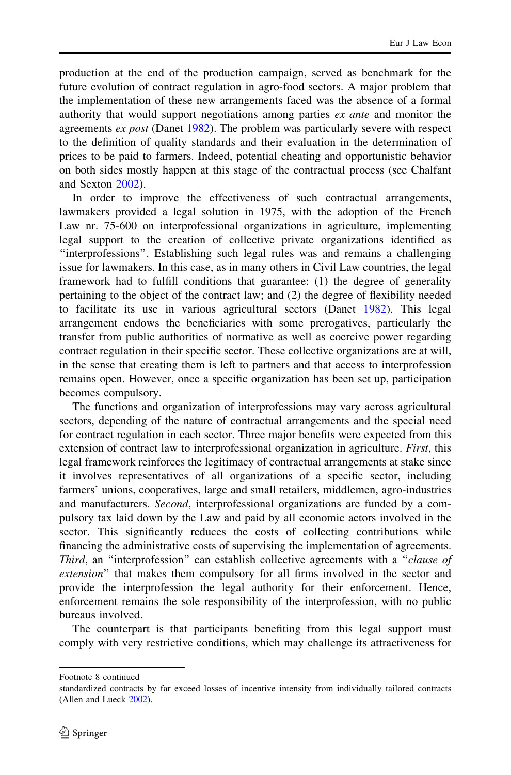production at the end of the production campaign, served as benchmark for the future evolution of contract regulation in agro-food sectors. A major problem that the implementation of these new arrangements faced was the absence of a formal authority that would support negotiations among parties ex ante and monitor the agreements ex post (Danet [1982\)](#page-21-0). The problem was particularly severe with respect to the definition of quality standards and their evaluation in the determination of prices to be paid to farmers. Indeed, potential cheating and opportunistic behavior on both sides mostly happen at this stage of the contractual process (see Chalfant and Sexton [2002\)](#page-20-0).

In order to improve the effectiveness of such contractual arrangements, lawmakers provided a legal solution in 1975, with the adoption of the French Law nr. 75-600 on interprofessional organizations in agriculture, implementing legal support to the creation of collective private organizations identified as ''interprofessions''. Establishing such legal rules was and remains a challenging issue for lawmakers. In this case, as in many others in Civil Law countries, the legal framework had to fulfill conditions that guarantee: (1) the degree of generality pertaining to the object of the contract law; and (2) the degree of flexibility needed to facilitate its use in various agricultural sectors (Danet [1982\)](#page-21-0). This legal arrangement endows the beneficiaries with some prerogatives, particularly the transfer from public authorities of normative as well as coercive power regarding contract regulation in their specific sector. These collective organizations are at will, in the sense that creating them is left to partners and that access to interprofession remains open. However, once a specific organization has been set up, participation becomes compulsory.

The functions and organization of interprofessions may vary across agricultural sectors, depending of the nature of contractual arrangements and the special need for contract regulation in each sector. Three major benefits were expected from this extension of contract law to interprofessional organization in agriculture. First, this legal framework reinforces the legitimacy of contractual arrangements at stake since it involves representatives of all organizations of a specific sector, including farmers' unions, cooperatives, large and small retailers, middlemen, agro-industries and manufacturers. Second, interprofessional organizations are funded by a compulsory tax laid down by the Law and paid by all economic actors involved in the sector. This significantly reduces the costs of collecting contributions while financing the administrative costs of supervising the implementation of agreements. Third, an "interprofession" can establish collective agreements with a "clause of extension'' that makes them compulsory for all firms involved in the sector and provide the interprofession the legal authority for their enforcement. Hence, enforcement remains the sole responsibility of the interprofession, with no public bureaus involved.

The counterpart is that participants benefiting from this legal support must comply with very restrictive conditions, which may challenge its attractiveness for

Footnote 8 continued

standardized contracts by far exceed losses of incentive intensity from individually tailored contracts (Allen and Lueck [2002\)](#page-20-0).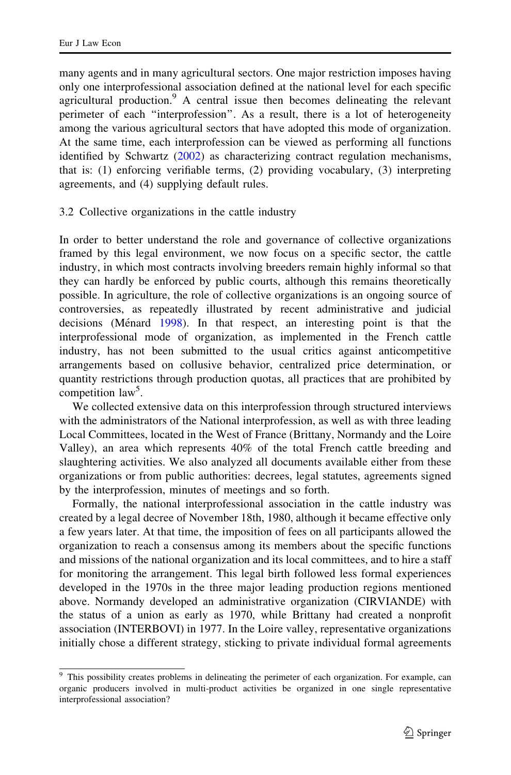many agents and in many agricultural sectors. One major restriction imposes having only one interprofessional association defined at the national level for each specific agricultural production.<sup>9</sup> A central issue then becomes delineating the relevant perimeter of each ''interprofession''. As a result, there is a lot of heterogeneity among the various agricultural sectors that have adopted this mode of organization. At the same time, each interprofession can be viewed as performing all functions identified by Schwartz ([2002\)](#page-22-0) as characterizing contract regulation mechanisms, that is: (1) enforcing verifiable terms, (2) providing vocabulary, (3) interpreting agreements, and (4) supplying default rules.

# 3.2 Collective organizations in the cattle industry

In order to better understand the role and governance of collective organizations framed by this legal environment, we now focus on a specific sector, the cattle industry, in which most contracts involving breeders remain highly informal so that they can hardly be enforced by public courts, although this remains theoretically possible. In agriculture, the role of collective organizations is an ongoing source of controversies, as repeatedly illustrated by recent administrative and judicial decisions (Ménard [1998](#page-22-0)). In that respect, an interesting point is that the interprofessional mode of organization, as implemented in the French cattle industry, has not been submitted to the usual critics against anticompetitive arrangements based on collusive behavior, centralized price determination, or quantity restrictions through production quotas, all practices that are prohibited by competition law<sup>5</sup>.

We collected extensive data on this interprofession through structured interviews with the administrators of the National interprofession, as well as with three leading Local Committees, located in the West of France (Brittany, Normandy and the Loire Valley), an area which represents 40% of the total French cattle breeding and slaughtering activities. We also analyzed all documents available either from these organizations or from public authorities: decrees, legal statutes, agreements signed by the interprofession, minutes of meetings and so forth.

Formally, the national interprofessional association in the cattle industry was created by a legal decree of November 18th, 1980, although it became effective only a few years later. At that time, the imposition of fees on all participants allowed the organization to reach a consensus among its members about the specific functions and missions of the national organization and its local committees, and to hire a staff for monitoring the arrangement. This legal birth followed less formal experiences developed in the 1970s in the three major leading production regions mentioned above. Normandy developed an administrative organization (CIRVIANDE) with the status of a union as early as 1970, while Brittany had created a nonprofit association (INTERBOVI) in 1977. In the Loire valley, representative organizations initially chose a different strategy, sticking to private individual formal agreements

<sup>&</sup>lt;sup>9</sup> This possibility creates problems in delineating the perimeter of each organization. For example, can organic producers involved in multi-product activities be organized in one single representative interprofessional association?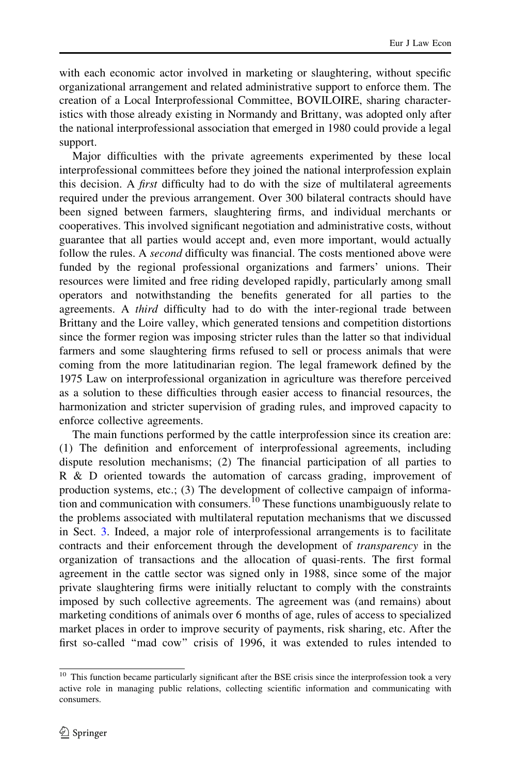with each economic actor involved in marketing or slaughtering, without specific organizational arrangement and related administrative support to enforce them. The creation of a Local Interprofessional Committee, BOVILOIRE, sharing characteristics with those already existing in Normandy and Brittany, was adopted only after the national interprofessional association that emerged in 1980 could provide a legal support.

Major difficulties with the private agreements experimented by these local interprofessional committees before they joined the national interprofession explain this decision. A first difficulty had to do with the size of multilateral agreements required under the previous arrangement. Over 300 bilateral contracts should have been signed between farmers, slaughtering firms, and individual merchants or cooperatives. This involved significant negotiation and administrative costs, without guarantee that all parties would accept and, even more important, would actually follow the rules. A second difficulty was financial. The costs mentioned above were funded by the regional professional organizations and farmers' unions. Their resources were limited and free riding developed rapidly, particularly among small operators and notwithstanding the benefits generated for all parties to the agreements. A third difficulty had to do with the inter-regional trade between Brittany and the Loire valley, which generated tensions and competition distortions since the former region was imposing stricter rules than the latter so that individual farmers and some slaughtering firms refused to sell or process animals that were coming from the more latitudinarian region. The legal framework defined by the 1975 Law on interprofessional organization in agriculture was therefore perceived as a solution to these difficulties through easier access to financial resources, the harmonization and stricter supervision of grading rules, and improved capacity to enforce collective agreements.

The main functions performed by the cattle interprofession since its creation are: (1) The definition and enforcement of interprofessional agreements, including dispute resolution mechanisms; (2) The financial participation of all parties to R & D oriented towards the automation of carcass grading, improvement of production systems, etc.; (3) The development of collective campaign of information and communication with consumers.<sup>10</sup> These functions unambiguously relate to the problems associated with multilateral reputation mechanisms that we discussed in Sect. [3.](#page-7-0) Indeed, a major role of interprofessional arrangements is to facilitate contracts and their enforcement through the development of transparency in the organization of transactions and the allocation of quasi-rents. The first formal agreement in the cattle sector was signed only in 1988, since some of the major private slaughtering firms were initially reluctant to comply with the constraints imposed by such collective agreements. The agreement was (and remains) about marketing conditions of animals over 6 months of age, rules of access to specialized market places in order to improve security of payments, risk sharing, etc. After the first so-called ''mad cow'' crisis of 1996, it was extended to rules intended to

<sup>&</sup>lt;sup>10</sup> This function became particularly significant after the BSE crisis since the interprofession took a very active role in managing public relations, collecting scientific information and communicating with consumers.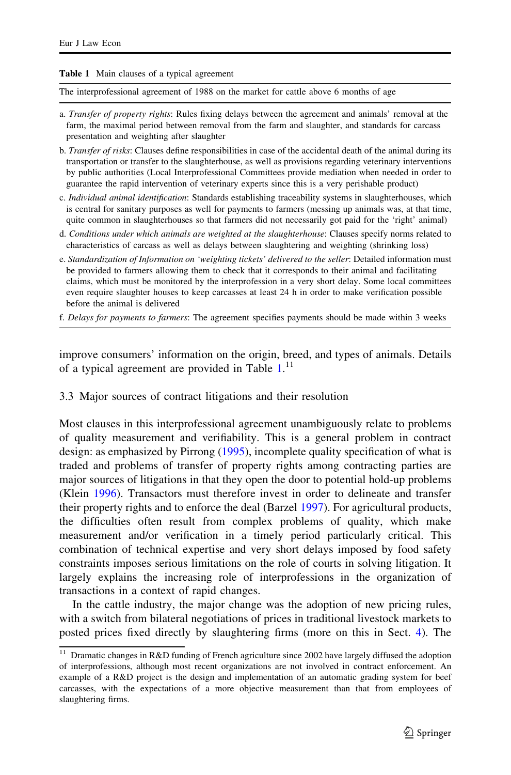#### Table 1 Main clauses of a typical agreement

The interprofessional agreement of 1988 on the market for cattle above 6 months of age

- a. Transfer of property rights: Rules fixing delays between the agreement and animals' removal at the farm, the maximal period between removal from the farm and slaughter, and standards for carcass presentation and weighting after slaughter
- b. *Transfer of risks*: Clauses define responsibilities in case of the accidental death of the animal during its transportation or transfer to the slaughterhouse, as well as provisions regarding veterinary interventions by public authorities (Local Interprofessional Committees provide mediation when needed in order to guarantee the rapid intervention of veterinary experts since this is a very perishable product)
- c. Individual animal identification: Standards establishing traceability systems in slaughterhouses, which is central for sanitary purposes as well for payments to farmers (messing up animals was, at that time, quite common in slaughterhouses so that farmers did not necessarily got paid for the 'right' animal)
- d. Conditions under which animals are weighted at the slaughterhouse: Clauses specify norms related to characteristics of carcass as well as delays between slaughtering and weighting (shrinking loss)
- e. Standardization of Information on 'weighting tickets' delivered to the seller: Detailed information must be provided to farmers allowing them to check that it corresponds to their animal and facilitating claims, which must be monitored by the interprofession in a very short delay. Some local committees even require slaughter houses to keep carcasses at least 24 h in order to make verification possible before the animal is delivered

f. Delays for payments to farmers: The agreement specifies payments should be made within 3 weeks

improve consumers' information on the origin, breed, and types of animals. Details of a typical agreement are provided in Table  $1<sup>11</sup>$ 

# 3.3 Major sources of contract litigations and their resolution

Most clauses in this interprofessional agreement unambiguously relate to problems of quality measurement and verifiability. This is a general problem in contract design: as emphasized by Pirrong ([1995\)](#page-22-0), incomplete quality specification of what is traded and problems of transfer of property rights among contracting parties are major sources of litigations in that they open the door to potential hold-up problems (Klein [1996](#page-21-0)). Transactors must therefore invest in order to delineate and transfer their property rights and to enforce the deal (Barzel [1997](#page-20-0)). For agricultural products, the difficulties often result from complex problems of quality, which make measurement and/or verification in a timely period particularly critical. This combination of technical expertise and very short delays imposed by food safety constraints imposes serious limitations on the role of courts in solving litigation. It largely explains the increasing role of interprofessions in the organization of transactions in a context of rapid changes.

In the cattle industry, the major change was the adoption of new pricing rules, with a switch from bilateral negotiations of prices in traditional livestock markets to posted prices fixed directly by slaughtering firms (more on this in Sect. [4\)](#page-16-0). The

<sup>&</sup>lt;sup>11</sup> Dramatic changes in R&D funding of French agriculture since 2002 have largely diffused the adoption of interprofessions, although most recent organizations are not involved in contract enforcement. An example of a R&D project is the design and implementation of an automatic grading system for beef carcasses, with the expectations of a more objective measurement than that from employees of slaughtering firms.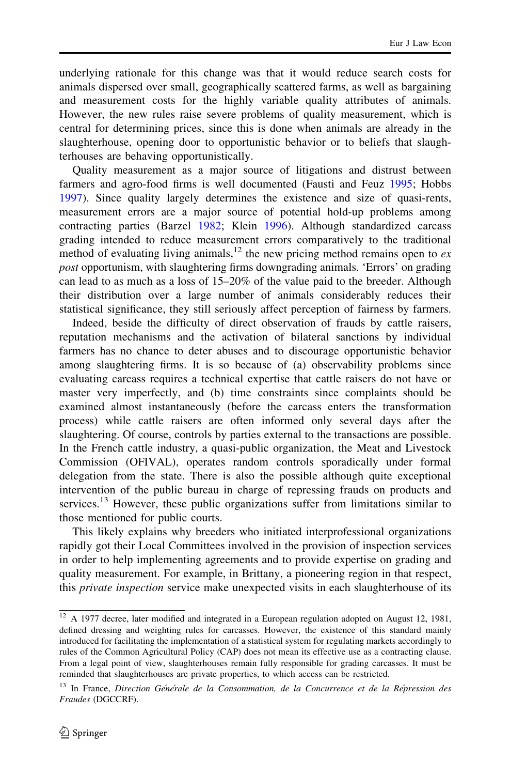underlying rationale for this change was that it would reduce search costs for animals dispersed over small, geographically scattered farms, as well as bargaining and measurement costs for the highly variable quality attributes of animals. However, the new rules raise severe problems of quality measurement, which is central for determining prices, since this is done when animals are already in the slaughterhouse, opening door to opportunistic behavior or to beliefs that slaughterhouses are behaving opportunistically.

Quality measurement as a major source of litigations and distrust between farmers and agro-food firms is well documented (Fausti and Feuz [1995](#page-21-0); Hobbs [1997\)](#page-21-0). Since quality largely determines the existence and size of quasi-rents, measurement errors are a major source of potential hold-up problems among contracting parties (Barzel [1982](#page-20-0); Klein [1996](#page-21-0)). Although standardized carcass grading intended to reduce measurement errors comparatively to the traditional method of evaluating living animals,<sup>12</sup> the new pricing method remains open to  $ex$ post opportunism, with slaughtering firms downgrading animals. 'Errors' on grading can lead to as much as a loss of 15–20% of the value paid to the breeder. Although their distribution over a large number of animals considerably reduces their statistical significance, they still seriously affect perception of fairness by farmers.

Indeed, beside the difficulty of direct observation of frauds by cattle raisers, reputation mechanisms and the activation of bilateral sanctions by individual farmers has no chance to deter abuses and to discourage opportunistic behavior among slaughtering firms. It is so because of (a) observability problems since evaluating carcass requires a technical expertise that cattle raisers do not have or master very imperfectly, and (b) time constraints since complaints should be examined almost instantaneously (before the carcass enters the transformation process) while cattle raisers are often informed only several days after the slaughtering. Of course, controls by parties external to the transactions are possible. In the French cattle industry, a quasi-public organization, the Meat and Livestock Commission (OFIVAL), operates random controls sporadically under formal delegation from the state. There is also the possible although quite exceptional intervention of the public bureau in charge of repressing frauds on products and services.<sup>13</sup> However, these public organizations suffer from limitations similar to those mentioned for public courts.

This likely explains why breeders who initiated interprofessional organizations rapidly got their Local Committees involved in the provision of inspection services in order to help implementing agreements and to provide expertise on grading and quality measurement. For example, in Brittany, a pioneering region in that respect, this *private inspection* service make unexpected visits in each slaughterhouse of its

<sup>&</sup>lt;sup>12</sup> A 1977 decree, later modified and integrated in a European regulation adopted on August 12, 1981, defined dressing and weighting rules for carcasses. However, the existence of this standard mainly introduced for facilitating the implementation of a statistical system for regulating markets accordingly to rules of the Common Agricultural Policy (CAP) does not mean its effective use as a contracting clause. From a legal point of view, slaughterhouses remain fully responsible for grading carcasses. It must be reminded that slaughterhouses are private properties, to which access can be restricted.

 $13$  In France, Direction Générale de la Consommation, de la Concurrence et de la Répression des Fraudes (DGCCRF).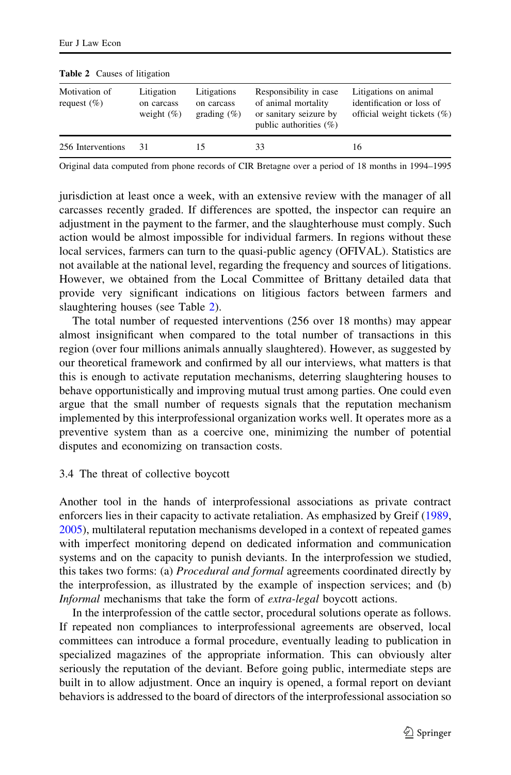| <b>rapic</b> $\boldsymbol{\mu}$ causes of image to $\boldsymbol{\mu}$ |                                           |                                              |                                                                                                       |                                                                                       |
|-----------------------------------------------------------------------|-------------------------------------------|----------------------------------------------|-------------------------------------------------------------------------------------------------------|---------------------------------------------------------------------------------------|
| Motivation of<br>request $(\% )$                                      | Litigation<br>on carcass<br>weight $(\%)$ | Litigations<br>on carcass<br>grading $(\% )$ | Responsibility in case<br>of animal mortality<br>or sanitary seizure by<br>public authorities $(\% )$ | Litigations on animal<br>identification or loss of<br>official weight tickets $(\% )$ |
| 256 Interventions                                                     | 31                                        |                                              | 33                                                                                                    | 16                                                                                    |

Table 2 Causes of litigation

Original data computed from phone records of CIR Bretagne over a period of 18 months in 1994–1995

jurisdiction at least once a week, with an extensive review with the manager of all carcasses recently graded. If differences are spotted, the inspector can require an adjustment in the payment to the farmer, and the slaughterhouse must comply. Such action would be almost impossible for individual farmers. In regions without these local services, farmers can turn to the quasi-public agency (OFIVAL). Statistics are not available at the national level, regarding the frequency and sources of litigations. However, we obtained from the Local Committee of Brittany detailed data that provide very significant indications on litigious factors between farmers and slaughtering houses (see Table 2).

The total number of requested interventions (256 over 18 months) may appear almost insignificant when compared to the total number of transactions in this region (over four millions animals annually slaughtered). However, as suggested by our theoretical framework and confirmed by all our interviews, what matters is that this is enough to activate reputation mechanisms, deterring slaughtering houses to behave opportunistically and improving mutual trust among parties. One could even argue that the small number of requests signals that the reputation mechanism implemented by this interprofessional organization works well. It operates more as a preventive system than as a coercive one, minimizing the number of potential disputes and economizing on transaction costs.

### 3.4 The threat of collective boycott

Another tool in the hands of interprofessional associations as private contract enforcers lies in their capacity to activate retaliation. As emphasized by Greif ([1989,](#page-21-0) [2005\)](#page-21-0), multilateral reputation mechanisms developed in a context of repeated games with imperfect monitoring depend on dedicated information and communication systems and on the capacity to punish deviants. In the interprofession we studied, this takes two forms: (a) Procedural and formal agreements coordinated directly by the interprofession, as illustrated by the example of inspection services; and (b) Informal mechanisms that take the form of extra-legal boycott actions.

In the interprofession of the cattle sector, procedural solutions operate as follows. If repeated non compliances to interprofessional agreements are observed, local committees can introduce a formal procedure, eventually leading to publication in specialized magazines of the appropriate information. This can obviously alter seriously the reputation of the deviant. Before going public, intermediate steps are built in to allow adjustment. Once an inquiry is opened, a formal report on deviant behaviors is addressed to the board of directors of the interprofessional association so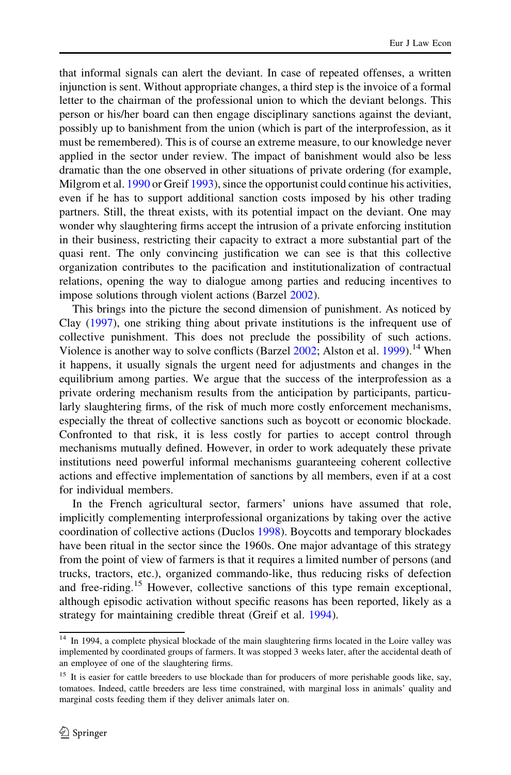that informal signals can alert the deviant. In case of repeated offenses, a written injunction is sent. Without appropriate changes, a third step is the invoice of a formal letter to the chairman of the professional union to which the deviant belongs. This person or his/her board can then engage disciplinary sanctions against the deviant, possibly up to banishment from the union (which is part of the interprofession, as it must be remembered). This is of course an extreme measure, to our knowledge never applied in the sector under review. The impact of banishment would also be less dramatic than the one observed in other situations of private ordering (for example, Milgrom et al. [1990](#page-22-0) or Greif [1993](#page-21-0)), since the opportunist could continue his activities, even if he has to support additional sanction costs imposed by his other trading partners. Still, the threat exists, with its potential impact on the deviant. One may wonder why slaughtering firms accept the intrusion of a private enforcing institution in their business, restricting their capacity to extract a more substantial part of the quasi rent. The only convincing justification we can see is that this collective organization contributes to the pacification and institutionalization of contractual relations, opening the way to dialogue among parties and reducing incentives to impose solutions through violent actions (Barzel [2002\)](#page-20-0).

This brings into the picture the second dimension of punishment. As noticed by Clay [\(1997](#page-21-0)), one striking thing about private institutions is the infrequent use of collective punishment. This does not preclude the possibility of such actions. Violence is another way to solve conflicts (Barzel  $2002$ ; Alston et al. [1999\)](#page-20-0).<sup>14</sup> When it happens, it usually signals the urgent need for adjustments and changes in the equilibrium among parties. We argue that the success of the interprofession as a private ordering mechanism results from the anticipation by participants, particularly slaughtering firms, of the risk of much more costly enforcement mechanisms, especially the threat of collective sanctions such as boycott or economic blockade. Confronted to that risk, it is less costly for parties to accept control through mechanisms mutually defined. However, in order to work adequately these private institutions need powerful informal mechanisms guaranteeing coherent collective actions and effective implementation of sanctions by all members, even if at a cost for individual members.

In the French agricultural sector, farmers' unions have assumed that role, implicitly complementing interprofessional organizations by taking over the active coordination of collective actions (Duclos [1998](#page-21-0)). Boycotts and temporary blockades have been ritual in the sector since the 1960s. One major advantage of this strategy from the point of view of farmers is that it requires a limited number of persons (and trucks, tractors, etc.), organized commando-like, thus reducing risks of defection and free-riding.<sup>15</sup> However, collective sanctions of this type remain exceptional, although episodic activation without specific reasons has been reported, likely as a strategy for maintaining credible threat (Greif et al. [1994\)](#page-21-0).

<sup>&</sup>lt;sup>14</sup> In 1994, a complete physical blockade of the main slaughtering firms located in the Loire valley was implemented by coordinated groups of farmers. It was stopped 3 weeks later, after the accidental death of an employee of one of the slaughtering firms.

<sup>&</sup>lt;sup>15</sup> It is easier for cattle breeders to use blockade than for producers of more perishable goods like, say, tomatoes. Indeed, cattle breeders are less time constrained, with marginal loss in animals' quality and marginal costs feeding them if they deliver animals later on.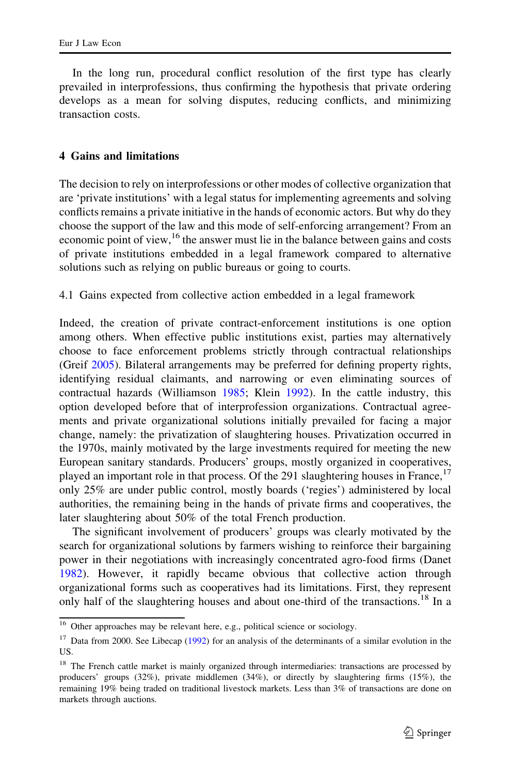<span id="page-16-0"></span>In the long run, procedural conflict resolution of the first type has clearly prevailed in interprofessions, thus confirming the hypothesis that private ordering develops as a mean for solving disputes, reducing conflicts, and minimizing transaction costs.

# 4 Gains and limitations

The decision to rely on interprofessions or other modes of collective organization that are 'private institutions' with a legal status for implementing agreements and solving conflicts remains a private initiative in the hands of economic actors. But why do they choose the support of the law and this mode of self-enforcing arrangement? From an economic point of view,<sup>16</sup> the answer must lie in the balance between gains and costs of private institutions embedded in a legal framework compared to alternative solutions such as relying on public bureaus or going to courts.

### 4.1 Gains expected from collective action embedded in a legal framework

Indeed, the creation of private contract-enforcement institutions is one option among others. When effective public institutions exist, parties may alternatively choose to face enforcement problems strictly through contractual relationships (Greif [2005\)](#page-21-0). Bilateral arrangements may be preferred for defining property rights, identifying residual claimants, and narrowing or even eliminating sources of contractual hazards (Williamson [1985](#page-22-0); Klein [1992\)](#page-21-0). In the cattle industry, this option developed before that of interprofession organizations. Contractual agreements and private organizational solutions initially prevailed for facing a major change, namely: the privatization of slaughtering houses. Privatization occurred in the 1970s, mainly motivated by the large investments required for meeting the new European sanitary standards. Producers' groups, mostly organized in cooperatives, played an important role in that process. Of the 291 slaughtering houses in France,<sup>17</sup> only 25% are under public control, mostly boards ('regies') administered by local authorities, the remaining being in the hands of private firms and cooperatives, the later slaughtering about 50% of the total French production.

The significant involvement of producers' groups was clearly motivated by the search for organizational solutions by farmers wishing to reinforce their bargaining power in their negotiations with increasingly concentrated agro-food firms (Danet [1982\)](#page-21-0). However, it rapidly became obvious that collective action through organizational forms such as cooperatives had its limitations. First, they represent only half of the slaughtering houses and about one-third of the transactions.<sup>18</sup> In a

<sup>&</sup>lt;sup>16</sup> Other approaches may be relevant here, e.g., political science or sociology.

<sup>&</sup>lt;sup>17</sup> Data from 2000. See Libecap ([1992\)](#page-21-0) for an analysis of the determinants of a similar evolution in the US.

<sup>&</sup>lt;sup>18</sup> The French cattle market is mainly organized through intermediaries: transactions are processed by producers' groups (32%), private middlemen (34%), or directly by slaughtering firms (15%), the remaining 19% being traded on traditional livestock markets. Less than 3% of transactions are done on markets through auctions.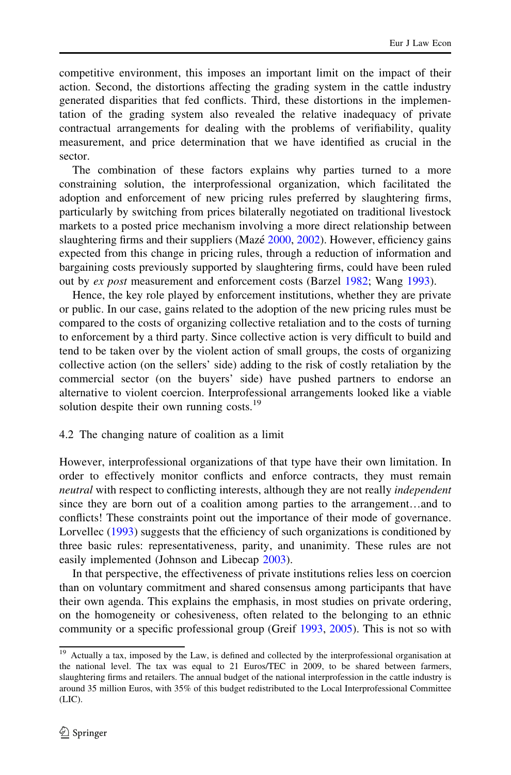competitive environment, this imposes an important limit on the impact of their action. Second, the distortions affecting the grading system in the cattle industry generated disparities that fed conflicts. Third, these distortions in the implementation of the grading system also revealed the relative inadequacy of private contractual arrangements for dealing with the problems of verifiability, quality measurement, and price determination that we have identified as crucial in the sector.

The combination of these factors explains why parties turned to a more constraining solution, the interprofessional organization, which facilitated the adoption and enforcement of new pricing rules preferred by slaughtering firms, particularly by switching from prices bilaterally negotiated on traditional livestock markets to a posted price mechanism involving a more direct relationship between slaughtering firms and their suppliers (Mazé  $2000$ ,  $2002$ ). However, efficiency gains expected from this change in pricing rules, through a reduction of information and bargaining costs previously supported by slaughtering firms, could have been ruled out by *ex post* measurement and enforcement costs (Barzel [1982;](#page-20-0) Wang [1993](#page-22-0)).

Hence, the key role played by enforcement institutions, whether they are private or public. In our case, gains related to the adoption of the new pricing rules must be compared to the costs of organizing collective retaliation and to the costs of turning to enforcement by a third party. Since collective action is very difficult to build and tend to be taken over by the violent action of small groups, the costs of organizing collective action (on the sellers' side) adding to the risk of costly retaliation by the commercial sector (on the buyers' side) have pushed partners to endorse an alternative to violent coercion. Interprofessional arrangements looked like a viable solution despite their own running costs. $^{19}$ 

# 4.2 The changing nature of coalition as a limit

However, interprofessional organizations of that type have their own limitation. In order to effectively monitor conflicts and enforce contracts, they must remain neutral with respect to conflicting interests, although they are not really *independent* since they are born out of a coalition among parties to the arrangement…and to conflicts! These constraints point out the importance of their mode of governance. Lorvellec [\(1993](#page-21-0)) suggests that the efficiency of such organizations is conditioned by three basic rules: representativeness, parity, and unanimity. These rules are not easily implemented (Johnson and Libecap [2003](#page-21-0)).

In that perspective, the effectiveness of private institutions relies less on coercion than on voluntary commitment and shared consensus among participants that have their own agenda. This explains the emphasis, in most studies on private ordering, on the homogeneity or cohesiveness, often related to the belonging to an ethnic community or a specific professional group (Greif [1993,](#page-21-0) [2005](#page-21-0)). This is not so with

<sup>&</sup>lt;sup>19</sup> Actually a tax, imposed by the Law, is defined and collected by the interprofessional organisation at the national level. The tax was equal to 21 Euros/TEC in 2009, to be shared between farmers, slaughtering firms and retailers. The annual budget of the national interprofession in the cattle industry is around 35 million Euros, with 35% of this budget redistributed to the Local Interprofessional Committee (LIC).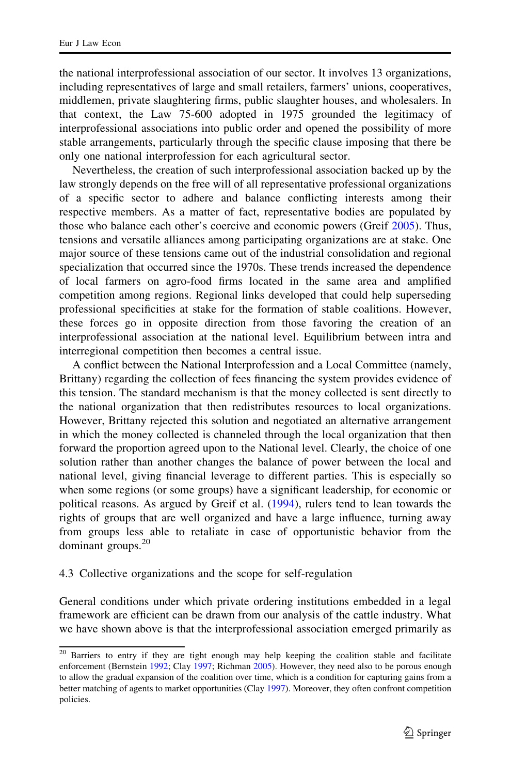the national interprofessional association of our sector. It involves 13 organizations, including representatives of large and small retailers, farmers' unions, cooperatives, middlemen, private slaughtering firms, public slaughter houses, and wholesalers. In that context, the Law 75-600 adopted in 1975 grounded the legitimacy of interprofessional associations into public order and opened the possibility of more stable arrangements, particularly through the specific clause imposing that there be only one national interprofession for each agricultural sector.

Nevertheless, the creation of such interprofessional association backed up by the law strongly depends on the free will of all representative professional organizations of a specific sector to adhere and balance conflicting interests among their respective members. As a matter of fact, representative bodies are populated by those who balance each other's coercive and economic powers (Greif [2005](#page-21-0)). Thus, tensions and versatile alliances among participating organizations are at stake. One major source of these tensions came out of the industrial consolidation and regional specialization that occurred since the 1970s. These trends increased the dependence of local farmers on agro-food firms located in the same area and amplified competition among regions. Regional links developed that could help superseding professional specificities at stake for the formation of stable coalitions. However, these forces go in opposite direction from those favoring the creation of an interprofessional association at the national level. Equilibrium between intra and interregional competition then becomes a central issue.

A conflict between the National Interprofession and a Local Committee (namely, Brittany) regarding the collection of fees financing the system provides evidence of this tension. The standard mechanism is that the money collected is sent directly to the national organization that then redistributes resources to local organizations. However, Brittany rejected this solution and negotiated an alternative arrangement in which the money collected is channeled through the local organization that then forward the proportion agreed upon to the National level. Clearly, the choice of one solution rather than another changes the balance of power between the local and national level, giving financial leverage to different parties. This is especially so when some regions (or some groups) have a significant leadership, for economic or political reasons. As argued by Greif et al. ([1994\)](#page-21-0), rulers tend to lean towards the rights of groups that are well organized and have a large influence, turning away from groups less able to retaliate in case of opportunistic behavior from the dominant groups. $20$ 

### 4.3 Collective organizations and the scope for self-regulation

General conditions under which private ordering institutions embedded in a legal framework are efficient can be drawn from our analysis of the cattle industry. What we have shown above is that the interprofessional association emerged primarily as

<sup>&</sup>lt;sup>20</sup> Barriers to entry if they are tight enough may help keeping the coalition stable and facilitate enforcement (Bernstein [1992;](#page-20-0) Clay [1997](#page-21-0); Richman [2005\)](#page-22-0). However, they need also to be porous enough to allow the gradual expansion of the coalition over time, which is a condition for capturing gains from a better matching of agents to market opportunities (Clay [1997](#page-21-0)). Moreover, they often confront competition policies.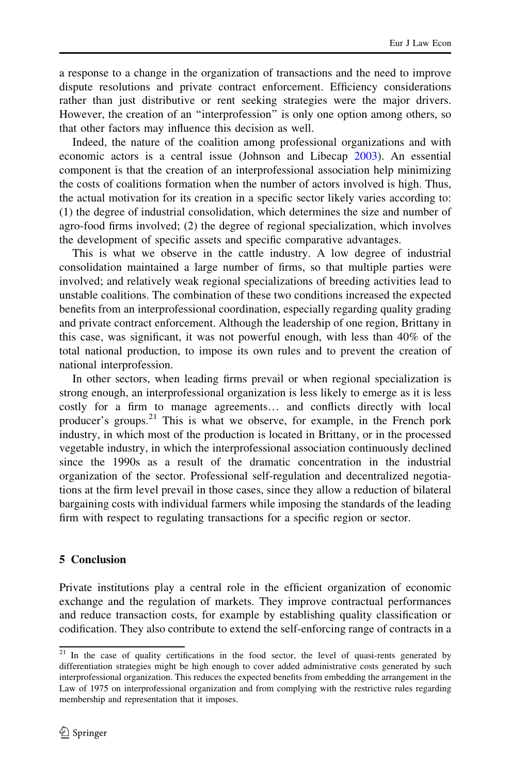<span id="page-19-0"></span>a response to a change in the organization of transactions and the need to improve dispute resolutions and private contract enforcement. Efficiency considerations rather than just distributive or rent seeking strategies were the major drivers. However, the creation of an ''interprofession'' is only one option among others, so that other factors may influence this decision as well.

Indeed, the nature of the coalition among professional organizations and with economic actors is a central issue (Johnson and Libecap [2003\)](#page-21-0). An essential component is that the creation of an interprofessional association help minimizing the costs of coalitions formation when the number of actors involved is high. Thus, the actual motivation for its creation in a specific sector likely varies according to: (1) the degree of industrial consolidation, which determines the size and number of agro-food firms involved; (2) the degree of regional specialization, which involves the development of specific assets and specific comparative advantages.

This is what we observe in the cattle industry. A low degree of industrial consolidation maintained a large number of firms, so that multiple parties were involved; and relatively weak regional specializations of breeding activities lead to unstable coalitions. The combination of these two conditions increased the expected benefits from an interprofessional coordination, especially regarding quality grading and private contract enforcement. Although the leadership of one region, Brittany in this case, was significant, it was not powerful enough, with less than 40% of the total national production, to impose its own rules and to prevent the creation of national interprofession.

In other sectors, when leading firms prevail or when regional specialization is strong enough, an interprofessional organization is less likely to emerge as it is less costly for a firm to manage agreements… and conflicts directly with local producer's groups.<sup>21</sup> This is what we observe, for example, in the French pork industry, in which most of the production is located in Brittany, or in the processed vegetable industry, in which the interprofessional association continuously declined since the 1990s as a result of the dramatic concentration in the industrial organization of the sector. Professional self-regulation and decentralized negotiations at the firm level prevail in those cases, since they allow a reduction of bilateral bargaining costs with individual farmers while imposing the standards of the leading firm with respect to regulating transactions for a specific region or sector.

# 5 Conclusion

Private institutions play a central role in the efficient organization of economic exchange and the regulation of markets. They improve contractual performances and reduce transaction costs, for example by establishing quality classification or codification. They also contribute to extend the self-enforcing range of contracts in a

 $21$  In the case of quality certifications in the food sector, the level of quasi-rents generated by differentiation strategies might be high enough to cover added administrative costs generated by such interprofessional organization. This reduces the expected benefits from embedding the arrangement in the Law of 1975 on interprofessional organization and from complying with the restrictive rules regarding membership and representation that it imposes.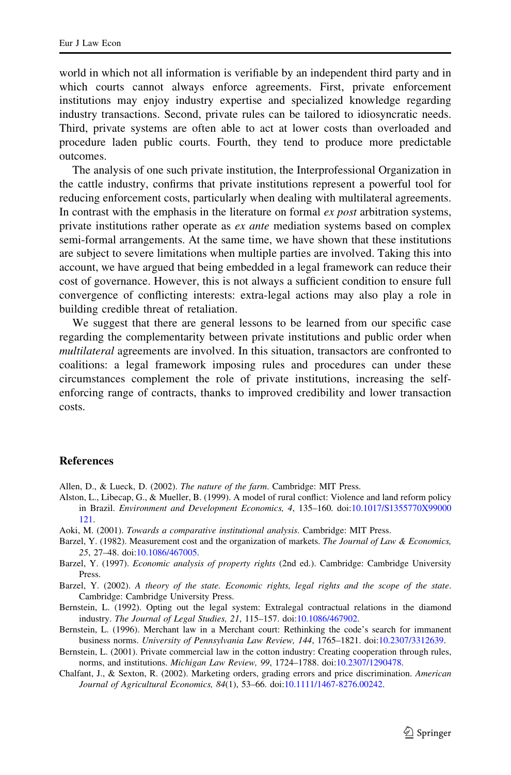<span id="page-20-0"></span>world in which not all information is verifiable by an independent third party and in which courts cannot always enforce agreements. First, private enforcement institutions may enjoy industry expertise and specialized knowledge regarding industry transactions. Second, private rules can be tailored to idiosyncratic needs. Third, private systems are often able to act at lower costs than overloaded and procedure laden public courts. Fourth, they tend to produce more predictable outcomes.

The analysis of one such private institution, the Interprofessional Organization in the cattle industry, confirms that private institutions represent a powerful tool for reducing enforcement costs, particularly when dealing with multilateral agreements. In contrast with the emphasis in the literature on formal  $ex$  post arbitration systems, private institutions rather operate as ex ante mediation systems based on complex semi-formal arrangements. At the same time, we have shown that these institutions are subject to severe limitations when multiple parties are involved. Taking this into account, we have argued that being embedded in a legal framework can reduce their cost of governance. However, this is not always a sufficient condition to ensure full convergence of conflicting interests: extra-legal actions may also play a role in building credible threat of retaliation.

We suggest that there are general lessons to be learned from our specific case regarding the complementarity between private institutions and public order when multilateral agreements are involved. In this situation, transactors are confronted to coalitions: a legal framework imposing rules and procedures can under these circumstances complement the role of private institutions, increasing the selfenforcing range of contracts, thanks to improved credibility and lower transaction costs.

### References

Allen, D., & Lueck, D. (2002). The nature of the farm. Cambridge: MIT Press.

- Alston, L., Libecap, G., & Mueller, B. (1999). A model of rural conflict: Violence and land reform policy in Brazil. Environment and Development Economics, 4, 135–160. doi:[10.1017/S1355770X99000](http://dx.doi.org/10.1017/S1355770X99000121) [121.](http://dx.doi.org/10.1017/S1355770X99000121)
- Aoki, M. (2001). Towards a comparative institutional analysis. Cambridge: MIT Press.
- Barzel, Y. (1982). Measurement cost and the organization of markets. The Journal of Law & Economics, 25, 27–48. doi:[10.1086/467005](http://dx.doi.org/10.1086/467005).
- Barzel, Y. (1997). Economic analysis of property rights (2nd ed.). Cambridge: Cambridge University Press.
- Barzel, Y. (2002). A theory of the state. Economic rights, legal rights and the scope of the state. Cambridge: Cambridge University Press.
- Bernstein, L. (1992). Opting out the legal system: Extralegal contractual relations in the diamond industry. The Journal of Legal Studies, 21, 115–157. doi:[10.1086/467902](http://dx.doi.org/10.1086/467902).
- Bernstein, L. (1996). Merchant law in a Merchant court: Rethinking the code's search for immanent business norms. University of Pennsylvania Law Review, 144, 1765–1821. doi:[10.2307/3312639.](http://dx.doi.org/10.2307/3312639)
- Bernstein, L. (2001). Private commercial law in the cotton industry: Creating cooperation through rules, norms, and institutions. Michigan Law Review, 99, 1724–1788. doi[:10.2307/1290478](http://dx.doi.org/10.2307/1290478).
- Chalfant, J., & Sexton, R. (2002). Marketing orders, grading errors and price discrimination. American Journal of Agricultural Economics, 84(1), 53–66. doi:[10.1111/1467-8276.00242](http://dx.doi.org/10.1111/1467-8276.00242).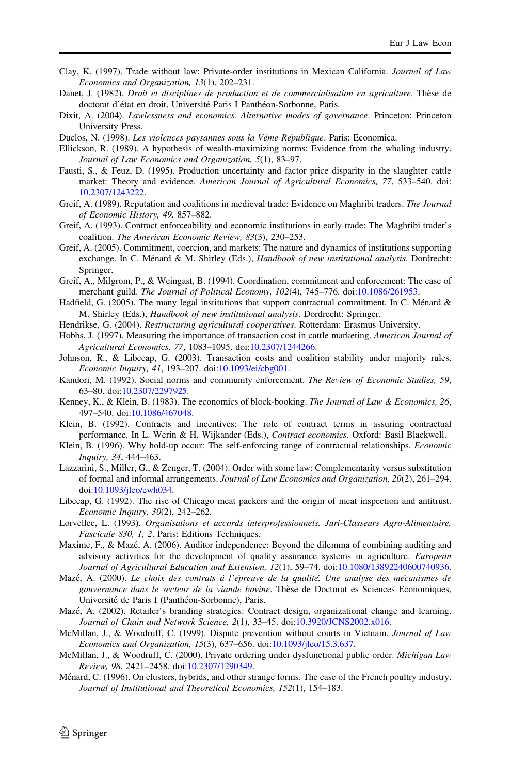- <span id="page-21-0"></span>Clay, K. (1997). Trade without law: Private-order institutions in Mexican California. Journal of Law Economics and Organization, 13(1), 202–231.
- Danet, J. (1982). Droit et disciplines de production et de commercialisation en agriculture. Thèse de doctorat d'état en droit, Université Paris I Panthéon-Sorbonne, Paris.
- Dixit, A. (2004). Lawlessness and economics. Alternative modes of governance. Princeton: Princeton University Press.
- Duclos, N. (1998). Les violences paysannes sous la Vème République. Paris: Economica.
- Ellickson, R. (1989). A hypothesis of wealth-maximizing norms: Evidence from the whaling industry. Journal of Law Economics and Organization, 5(1), 83–97.
- Fausti, S., & Feuz, D. (1995). Production uncertainty and factor price disparity in the slaughter cattle market: Theory and evidence. American Journal of Agricultural Economics, 77, 533–540. doi: [10.2307/1243222.](http://dx.doi.org/10.2307/1243222)
- Greif, A. (1989). Reputation and coalitions in medieval trade: Evidence on Maghribi traders. The Journal of Economic History, 49, 857–882.
- Greif, A. (1993). Contract enforceability and economic institutions in early trade: The Maghribi trader's coalition. The American Economic Review, 83(3), 230–253.
- Greif, A. (2005). Commitment, coercion, and markets: The nature and dynamics of institutions supporting exchange. In C. Ménard & M. Shirley (Eds.), Handbook of new institutional analysis. Dordrecht: Springer.
- Greif, A., Milgrom, P., & Weingast, B. (1994). Coordination, commitment and enforcement: The case of merchant guild. The Journal of Political Economy, 102(4), 745–776. doi:[10.1086/261953](http://dx.doi.org/10.1086/261953).
- Hadfield, G. (2005). The many legal institutions that support contractual commitment. In C. Ménard  $\&$ M. Shirley (Eds.), Handbook of new institutional analysis. Dordrecht: Springer.
- Hendrikse, G. (2004). Restructuring agricultural cooperatives. Rotterdam: Erasmus University.
- Hobbs, J. (1997). Measuring the importance of transaction cost in cattle marketing. American Journal of Agricultural Economics, 77, 1083–1095. doi[:10.2307/1244266.](http://dx.doi.org/10.2307/1244266)
- Johnson, R., & Libecap, G. (2003). Transaction costs and coalition stability under majority rules. Economic Inquiry, 41, 193–207. doi[:10.1093/ei/cbg001.](http://dx.doi.org/10.1093/ei/cbg001)
- Kandori, M. (1992). Social norms and community enforcement. The Review of Economic Studies, 59, 63–80. doi:[10.2307/2297925.](http://dx.doi.org/10.2307/2297925)
- Kenney, K., & Klein, B. (1983). The economics of block-booking. The Journal of Law & Economics, 26, 497–540. doi:[10.1086/467048.](http://dx.doi.org/10.1086/467048)
- Klein, B. (1992). Contracts and incentives: The role of contract terms in assuring contractual performance. In L. Werin & H. Wijkander (Eds.), Contract economics. Oxford: Basil Blackwell.
- Klein, B. (1996). Why hold-up occur: The self-enforcing range of contractual relationships. Economic Inquiry, 34, 444–463.
- Lazzarini, S., Miller, G., & Zenger, T. (2004). Order with some law: Complementarity versus substitution of formal and informal arrangements. Journal of Law Economics and Organization, 20(2), 261–294. doi[:10.1093/jleo/ewh034.](http://dx.doi.org/10.1093/jleo/ewh034)
- Libecap, G. (1992). The rise of Chicago meat packers and the origin of meat inspection and antitrust. Economic Inquiry, 30(2), 242–262.
- Lorvellec, L. (1993). Organisations et accords interprofessionnels. Juri-Classeurs Agro-Alimentaire, Fascicule 830, 1, 2. Paris: Editions Techniques.
- Maxime, F., & Mazé, A. (2006). Auditor independence: Beyond the dilemma of combining auditing and advisory activities for the development of quality assurance systems in agriculture. European Journal of Agricultural Education and Extension, 12(1), 59–74. doi:[10.1080/13892240600740936](http://dx.doi.org/10.1080/13892240600740936).
- Mazé, A. (2000). Le choix des contrats à l'épreuve de la qualité. Une analyse des mécanismes de gouvernance dans le secteur de la viande bovine. Thèse de Doctorat es Sciences Economiques, Université de Paris I (Panthéon-Sorbonne), Paris.
- Mazé, A. (2002). Retailer's branding strategies: Contract design, organizational change and learning. Journal of Chain and Network Science, 2(1), 33–45. doi[:10.3920/JCNS2002.x016.](http://dx.doi.org/10.3920/JCNS2002.x016)
- McMillan, J., & Woodruff, C. (1999). Dispute prevention without courts in Vietnam. Journal of Law Economics and Organization, 15(3), 637–656. doi[:10.1093/jleo/15.3.637](http://dx.doi.org/10.1093/jleo/15.3.637).
- McMillan, J., & Woodruff, C. (2000). Private ordering under dysfunctional public order. Michigan Law Review, 98, 2421–2458. doi[:10.2307/1290349](http://dx.doi.org/10.2307/1290349).
- Ménard, C. (1996). On clusters, hybrids, and other strange forms. The case of the French poultry industry. Journal of Institutional and Theoretical Economics, 152(1), 154–183.